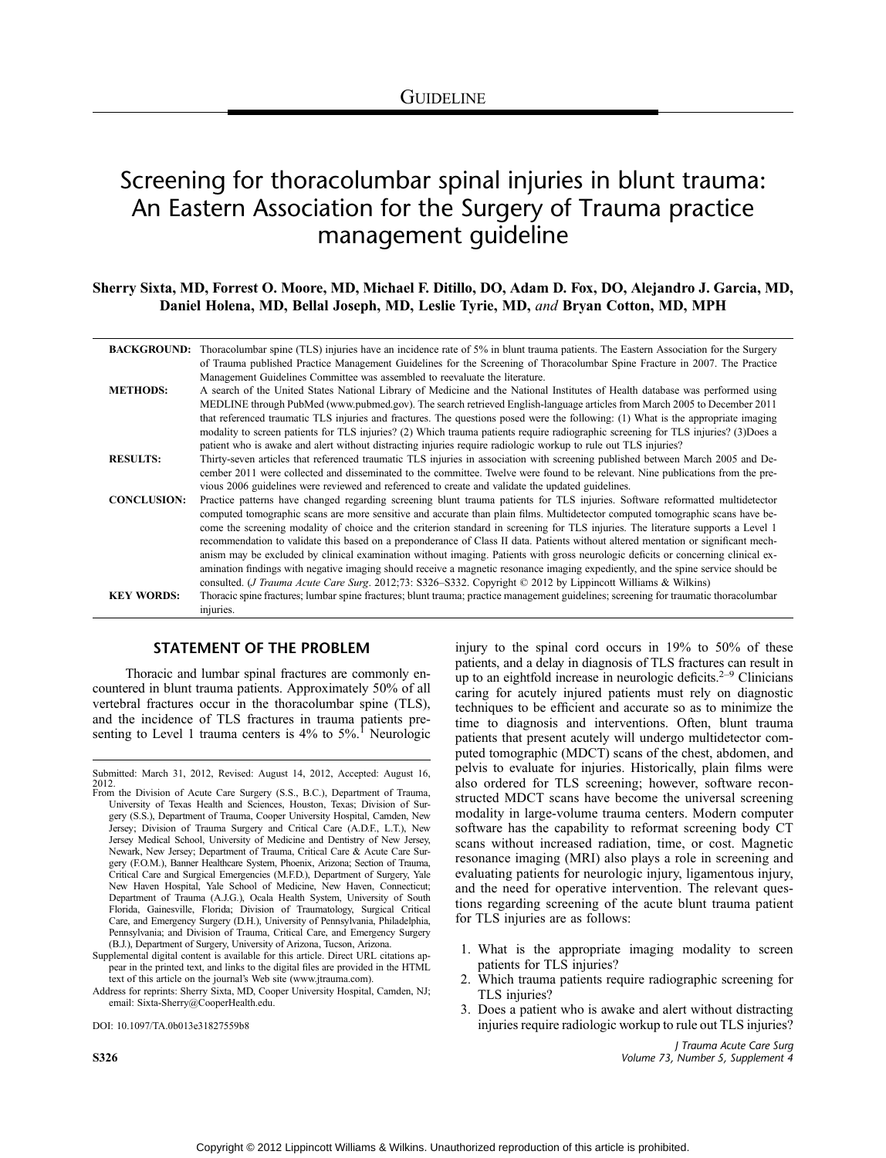# Screening for thoracolumbar spinal injuries in blunt trauma: An Eastern Association for the Surgery of Trauma practice management guideline

Sherry Sixta, MD, Forrest O. Moore, MD, Michael F. Ditillo, DO, Adam D. Fox, DO, Alejandro J. Garcia, MD, Daniel Holena, MD, Bellal Joseph, MD, Leslie Tyrie, MD, and Bryan Cotton, MD, MPH

| <b>BACKGROUND:</b> | Thoracolumbar spine (TLS) injuries have an incidence rate of 5% in blunt trauma patients. The Eastern Association for the Surgery     |
|--------------------|---------------------------------------------------------------------------------------------------------------------------------------|
|                    | of Trauma published Practice Management Guidelines for the Screening of Thoracolumbar Spine Fracture in 2007. The Practice            |
|                    | Management Guidelines Committee was assembled to reevaluate the literature.                                                           |
| <b>METHODS:</b>    | A search of the United States National Library of Medicine and the National Institutes of Health database was performed using         |
|                    | MEDLINE through PubMed (www.pubmed.gov). The search retrieved English-language articles from March 2005 to December 2011              |
|                    | that referenced traumatic TLS injuries and fractures. The questions posed were the following: (1) What is the appropriate imaging     |
|                    | modality to screen patients for TLS injuries? (2) Which trauma patients require radiographic screening for TLS injuries? (3)Does a    |
|                    | patient who is awake and alert without distracting injuries require radiologic workup to rule out TLS injuries?                       |
| <b>RESULTS:</b>    | Thirty-seven articles that referenced traumatic TLS injuries in association with screening published between March 2005 and De-       |
|                    | cember 2011 were collected and disseminated to the committee. Twelve were found to be relevant. Nine publications from the pre-       |
|                    | vious 2006 guidelines were reviewed and referenced to create and validate the updated guidelines.                                     |
| <b>CONCLUSION:</b> | Practice patterns have changed regarding screening blunt trauma patients for TLS injuries. Software reformatted multidetector         |
|                    | computed tomographic scans are more sensitive and accurate than plain films. Multidetector computed tomographic scans have be-        |
|                    | come the screening modality of choice and the criterion standard in screening for TLS injuries. The literature supports a Level 1     |
|                    | recommendation to validate this based on a preponderance of Class II data. Patients without altered mentation or significant mech-    |
|                    | anism may be excluded by clinical examination without imaging. Patients with gross neurologic deficits or concerning clinical ex-     |
|                    | amination findings with negative imaging should receive a magnetic resonance imaging expediently, and the spine service should be     |
|                    | consulted. ( <i>J Trauma Acute Care Surg.</i> 2012;73: S326–S332. Copyright © 2012 by Lippincott Williams & Wilkins)                  |
| <b>KEY WORDS:</b>  | Thoracic spine fractures; lumbar spine fractures; blunt trauma; practice management guidelines; screening for traumatic thoracolumbar |
|                    | injuries.                                                                                                                             |

# STATEMENT OF THE PROBLEM

Thoracic and lumbar spinal fractures are commonly encountered in blunt trauma patients. Approximately 50% of all vertebral fractures occur in the thoracolumbar spine (TLS), and the incidence of TLS fractures in trauma patients presenting to Level 1 trauma centers is 4% to 5%.<sup>1</sup> Neurologic

Address for reprints: Sherry Sixta, MD, Cooper University Hospital, Camden, NJ; email: Sixta-Sherry@CooperHealth.edu.

DOI: 10.1097/TA.0b013e31827559b8

injury to the spinal cord occurs in 19% to 50% of these patients, and a delay in diagnosis of TLS fractures can result in up to an eightfold increase in neurologic deficits.<sup> $2-9$ </sup> Clinicians caring for acutely injured patients must rely on diagnostic techniques to be efficient and accurate so as to minimize the time to diagnosis and interventions. Often, blunt trauma patients that present acutely will undergo multidetector computed tomographic (MDCT) scans of the chest, abdomen, and pelvis to evaluate for injuries. Historically, plain films were also ordered for TLS screening; however, software reconstructed MDCT scans have become the universal screening modality in large-volume trauma centers. Modern computer software has the capability to reformat screening body CT scans without increased radiation, time, or cost. Magnetic resonance imaging (MRI) also plays a role in screening and evaluating patients for neurologic injury, ligamentous injury, and the need for operative intervention. The relevant questions regarding screening of the acute blunt trauma patient for TLS injuries are as follows:

- 1. What is the appropriate imaging modality to screen patients for TLS injuries?
- 2. Which trauma patients require radiographic screening for TLS injuries?
- 3. Does a patient who is awake and alert without distracting injuries require radiologic workup to rule out TLS injuries?

J Trauma Acute Care Surg S326 Volume 73, Number 5, Supplement 4

Submitted: March 31, 2012, Revised: August 14, 2012, Accepted: August 16,

<sup>2012.</sup> From the Division of Acute Care Surgery (S.S., B.C.), Department of Trauma, University of Texas Health and Sciences, Houston, Texas; Division of Surgery (S.S.), Department of Trauma, Cooper University Hospital, Camden, New Jersey; Division of Trauma Surgery and Critical Care (A.D.F., L.T.), New Jersey Medical School, University of Medicine and Dentistry of New Jersey, Newark, New Jersey; Department of Trauma, Critical Care & Acute Care Surgery (F.O.M.), Banner Healthcare System, Phoenix, Arizona; Section of Trauma, Critical Care and Surgical Emergencies (M.F.D.), Department of Surgery, Yale New Haven Hospital, Yale School of Medicine, New Haven, Connecticut; Department of Trauma (A.J.G.), Ocala Health System, University of South Florida, Gainesville, Florida; Division of Traumatology, Surgical Critical Care, and Emergency Surgery (D.H.), University of Pennsylvania, Philadelphia, Pennsylvania; and Division of Trauma, Critical Care, and Emergency Surgery (B.J.), Department of Surgery, University of Arizona, Tucson, Arizona.

Supplemental digital content is available for this article. Direct URL citations appear in the printed text, and links to the digital files are provided in the HTML text of this article on the journal's Web site ([www.jtrauma.com\)](mailto:).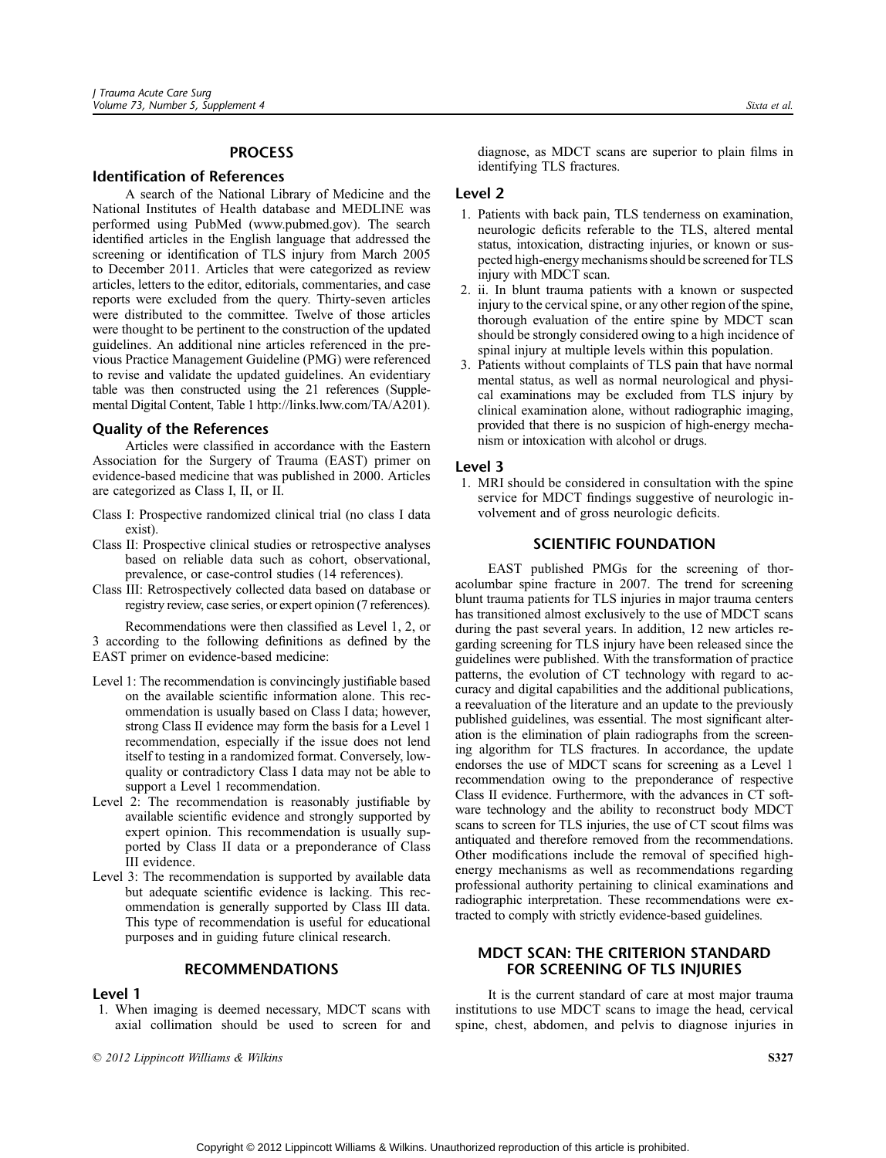## **PROCESS**

# Identification of References

A search of the National Library of Medicine and the National Institutes of Health database and MEDLINE was performed using PubMed ([www.pubmed.gov\)](www.pubmed.gov). The search identified articles in the English language that addressed the screening or identification of TLS injury from March 2005 to December 2011. Articles that were categorized as review articles, letters to the editor, editorials, commentaries, and case reports were excluded from the query. Thirty-seven articles were distributed to the committee. Twelve of those articles were thought to be pertinent to the construction of the updated guidelines. An additional nine articles referenced in the previous Practice Management Guideline (PMG) were referenced to revise and validate the updated guidelines. An evidentiary table was then constructed using the 21 references (Supplemental Digital Content, Table 1 [http://links.lww.com/TA/A201\)](http://links.lww.com/TA/XXX).

#### Quality of the References

Articles were classified in accordance with the Eastern Association for the Surgery of Trauma (EAST) primer on evidence-based medicine that was published in 2000. Articles are categorized as Class I, II, or II.

- Class I: Prospective randomized clinical trial (no class I data exist).
- Class II: Prospective clinical studies or retrospective analyses based on reliable data such as cohort, observational, prevalence, or case-control studies (14 references).
- Class III: Retrospectively collected data based on database or registry review, case series, or expert opinion (7 references).

Recommendations were then classified as Level 1, 2, or 3 according to the following definitions as defined by the EAST primer on evidence-based medicine:

- Level 1: The recommendation is convincingly justifiable based on the available scientific information alone. This recommendation is usually based on Class I data; however, strong Class II evidence may form the basis for a Level 1 recommendation, especially if the issue does not lend itself to testing in a randomized format. Conversely, lowquality or contradictory Class I data may not be able to support a Level 1 recommendation.
- Level 2: The recommendation is reasonably justifiable by available scientific evidence and strongly supported by expert opinion. This recommendation is usually supported by Class II data or a preponderance of Class III evidence.
- Level 3: The recommendation is supported by available data but adequate scientific evidence is lacking. This recommendation is generally supported by Class III data. This type of recommendation is useful for educational purposes and in guiding future clinical research.

#### RECOMMENDATIONS

# Level 1

1. When imaging is deemed necessary, MDCT scans with axial collimation should be used to screen for and

 $\odot$  2012 Lippincott Williams & Wilkins  $\ddot{\text{S327}}$ 

diagnose, as MDCT scans are superior to plain films in identifying TLS fractures.

# Level 2

- 1. Patients with back pain, TLS tenderness on examination, neurologic deficits referable to the TLS, altered mental status, intoxication, distracting injuries, or known or suspected high-energy mechanisms should be screened for TLS injury with MDCT scan.
- 2. ii. In blunt trauma patients with a known or suspected injury to the cervical spine, or any other region of the spine, thorough evaluation of the entire spine by MDCT scan should be strongly considered owing to a high incidence of spinal injury at multiple levels within this population.
- 3. Patients without complaints of TLS pain that have normal mental status, as well as normal neurological and physical examinations may be excluded from TLS injury by clinical examination alone, without radiographic imaging, provided that there is no suspicion of high-energy mechanism or intoxication with alcohol or drugs.

#### Level 3

1. MRI should be considered in consultation with the spine service for MDCT findings suggestive of neurologic involvement and of gross neurologic deficits.

## SCIENTIFIC FOUNDATION

EAST published PMGs for the screening of thoracolumbar spine fracture in 2007. The trend for screening blunt trauma patients for TLS injuries in major trauma centers has transitioned almost exclusively to the use of MDCT scans during the past several years. In addition, 12 new articles regarding screening for TLS injury have been released since the guidelines were published. With the transformation of practice patterns, the evolution of CT technology with regard to accuracy and digital capabilities and the additional publications, a reevaluation of the literature and an update to the previously published guidelines, was essential. The most significant alteration is the elimination of plain radiographs from the screening algorithm for TLS fractures. In accordance, the update endorses the use of MDCT scans for screening as a Level 1 recommendation owing to the preponderance of respective Class II evidence. Furthermore, with the advances in CT software technology and the ability to reconstruct body MDCT scans to screen for TLS injuries, the use of CT scout films was antiquated and therefore removed from the recommendations. Other modifications include the removal of specified highenergy mechanisms as well as recommendations regarding professional authority pertaining to clinical examinations and radiographic interpretation. These recommendations were extracted to comply with strictly evidence-based guidelines.

# MDCT SCAN: THE CRITERION STANDARD FOR SCREENING OF TLS INJURIES

It is the current standard of care at most major trauma institutions to use MDCT scans to image the head, cervical spine, chest, abdomen, and pelvis to diagnose injuries in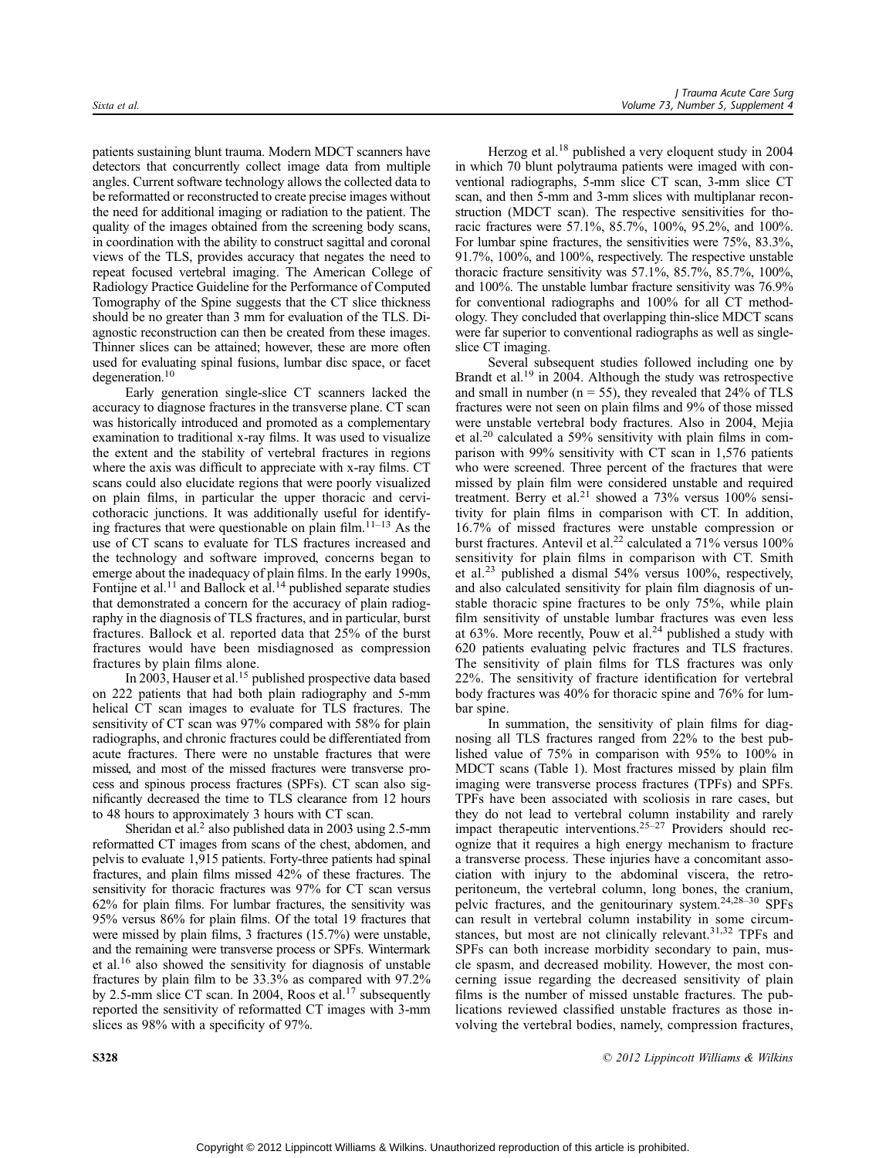patients sustaining blunt trauma. Modern MDCT scanners have detectors that concurrently collect image data from multiple angles. Current software technology allows the collected data to be reformatted or reconstructed to create precise images without the need for additional imaging or radiation to the patient. The quality of the images obtained from the screening body scans, in coordination with the ability to construct sagittal and coronal views of the TLS, provides accuracy that negates the need to repeat focused vertebral imaging. The American College of Radiology Practice Guideline for the Performance of Computed Tomography of the Spine suggests that the CT slice thickness should be no greater than 3 mm for evaluation of the TLS. Diagnostic reconstruction can then be created from these images. Thinner slices can be attained; however, these are more often used for evaluating spinal fusions, lumbar disc space, or facet degeneration.10

Early generation single-slice CT scanners lacked the accuracy to diagnose fractures in the transverse plane. CT scan was historically introduced and promoted as a complementary examination to traditional x-ray films. It was used to visualize the extent and the stability of vertebral fractures in regions where the axis was difficult to appreciate with x-ray films. CT scans could also elucidate regions that were poorly visualized on plain films, in particular the upper thoracic and cervicothoracic junctions. It was additionally useful for identifying fractures that were questionable on plain film. $11-13$  As the use of CT scans to evaluate for TLS fractures increased and the technology and software improved, concerns began to emerge about the inadequacy of plain films. In the early 1990s, Fontijne et al.<sup>11</sup> and Ballock et al.<sup>14</sup> published separate studies that demonstrated a concern for the accuracy of plain radiography in the diagnosis of TLS fractures, and in particular, burst fractures. Ballock et al. reported data that 25% of the burst fractures would have been misdiagnosed as compression fractures by plain films alone.

In 2003, Hauser et al.<sup>15</sup> published prospective data based on 222 patients that had both plain radiography and 5-mm helical CT scan images to evaluate for TLS fractures. The sensitivity of CT scan was 97% compared with 58% for plain radiographs, and chronic fractures could be differentiated from acute fractures. There were no unstable fractures that were missed, and most of the missed fractures were transverse process and spinous process fractures (SPFs). CT scan also significantly decreased the time to TLS clearance from 12 hours to 48 hours to approximately 3 hours with CT scan.

Sheridan et al.<sup>2</sup> also published data in 2003 using  $2.5$ -mm reformatted CT images from scans of the chest, abdomen, and pelvis to evaluate 1,915 patients. Forty-three patients had spinal fractures, and plain films missed 42% of these fractures. The sensitivity for thoracic fractures was 97% for CT scan versus 62% for plain films. For lumbar fractures, the sensitivity was 95% versus 86% for plain films. Of the total 19 fractures that were missed by plain films, 3 fractures (15.7%) were unstable, and the remaining were transverse process or SPFs. Wintermark et al.<sup>16</sup> also showed the sensitivity for diagnosis of unstable fractures by plain film to be 33.3% as compared with 97.2% by 2.5-mm slice CT scan. In 2004, Roos et al.<sup>17</sup> subsequently reported the sensitivity of reformatted CT images with 3-mm slices as 98% with a specificity of 97%.

Herzog et al.<sup>18</sup> published a very eloquent study in 2004 in which 70 blunt polytrauma patients were imaged with conventional radiographs, 5-mm slice CT scan, 3-mm slice CT scan, and then 5-mm and 3-mm slices with multiplanar reconstruction (MDCT scan). The respective sensitivities for thoracic fractures were 57.1%, 85.7%, 100%, 95.2%, and 100%. For lumbar spine fractures, the sensitivities were 75%, 83.3%, 91.7%, 100%, and 100%, respectively. The respective unstable thoracic fracture sensitivity was 57.1%, 85.7%, 85.7%, 100%, and 100%. The unstable lumbar fracture sensitivity was 76.9% for conventional radiographs and 100% for all CT methodology. They concluded that overlapping thin-slice MDCT scans were far superior to conventional radiographs as well as singleslice CT imaging.

Several subsequent studies followed including one by Brandt et al.<sup>19</sup> in 2004. Although the study was retrospective and small in number ( $n = 55$ ), they revealed that 24% of TLS fractures were not seen on plain films and 9% of those missed were unstable vertebral body fractures. Also in 2004, Mejia et al.20 calculated a 59% sensitivity with plain films in comparison with 99% sensitivity with CT scan in 1,576 patients who were screened. Three percent of the fractures that were missed by plain film were considered unstable and required treatment. Berry et al.<sup>21</sup> showed a  $73\%$  versus 100% sensitivity for plain films in comparison with CT. In addition, 16.7% of missed fractures were unstable compression or burst fractures. Antevil et al.<sup>22</sup> calculated a 71% versus 100% sensitivity for plain films in comparison with CT. Smith et al.<sup>23</sup> published a dismal 54% versus 100%, respectively, and also calculated sensitivity for plain film diagnosis of unstable thoracic spine fractures to be only 75%, while plain film sensitivity of unstable lumbar fractures was even less at 63%. More recently, Pouw et al.<sup>24</sup> published a study with 620 patients evaluating pelvic fractures and TLS fractures. The sensitivity of plain films for TLS fractures was only 22%. The sensitivity of fracture identification for vertebral body fractures was 40% for thoracic spine and 76% for lumbar spine.

In summation, the sensitivity of plain films for diagnosing all TLS fractures ranged from 22% to the best published value of 75% in comparison with 95% to 100% in MDCT scans (Table 1). Most fractures missed by plain film imaging were transverse process fractures (TPFs) and SPFs. TPFs have been associated with scoliosis in rare cases, but they do not lead to vertebral column instability and rarely impact therapeutic interventions.<sup>25-27</sup> Providers should recognize that it requires a high energy mechanism to fracture a transverse process. These injuries have a concomitant association with injury to the abdominal viscera, the retroperitoneum, the vertebral column, long bones, the cranium, pelvic fractures, and the genitourinary system.<sup>24,28-30</sup> SPFs can result in vertebral column instability in some circumstances, but most are not clinically relevant.<sup>31,32</sup> TPFs and SPFs can both increase morbidity secondary to pain, muscle spasm, and decreased mobility. However, the most concerning issue regarding the decreased sensitivity of plain films is the number of missed unstable fractures. The publications reviewed classified unstable fractures as those involving the vertebral bodies, namely, compression fractures,

S328 **328 2012** Lippincott Williams & Wilkins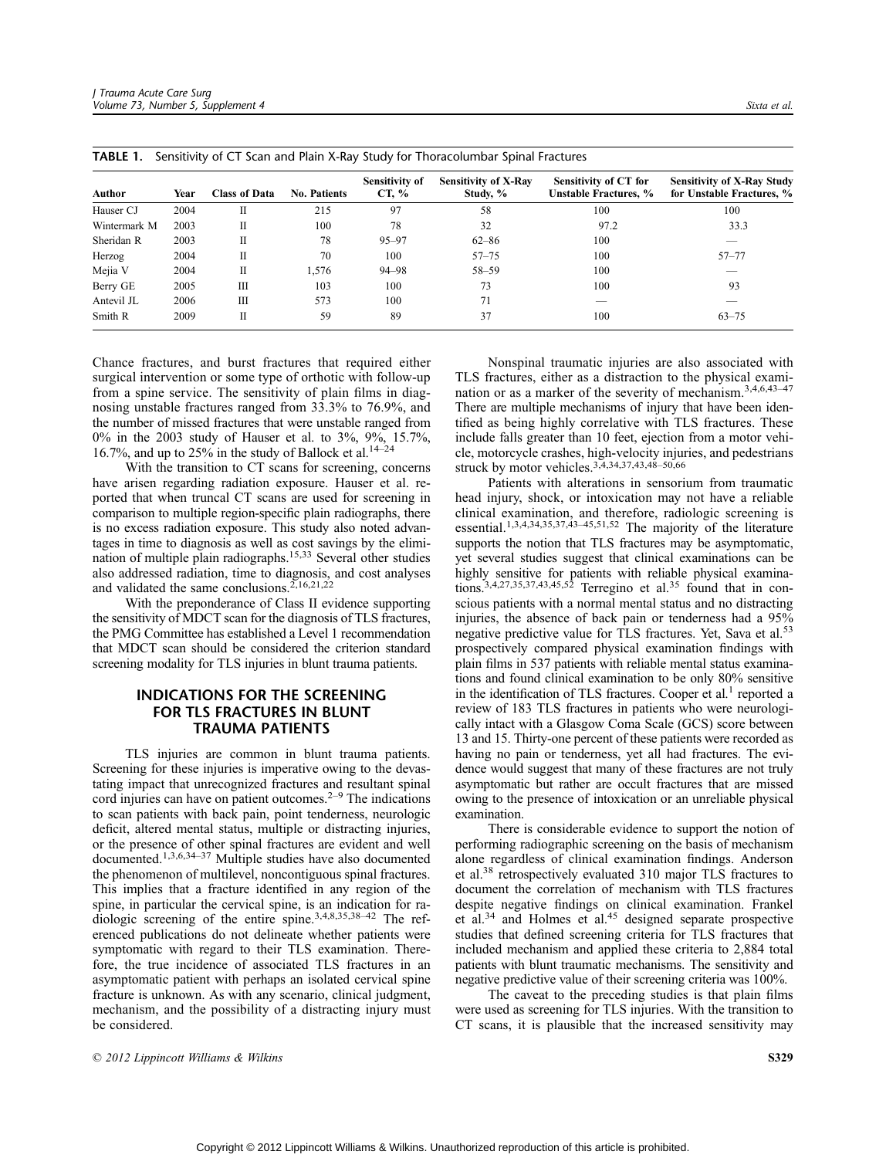| Author       | Year | <b>Class of Data</b> | <b>No. Patients</b> | <b>Sensitivity of</b><br>CT. % | <b>Sensitivity of X-Ray</b><br>Study, % | <b>Sensitivity of CT for</b><br>Unstable Fractures, % | <b>Sensitivity of X-Ray Study</b><br>for Unstable Fractures, % |
|--------------|------|----------------------|---------------------|--------------------------------|-----------------------------------------|-------------------------------------------------------|----------------------------------------------------------------|
| Hauser CJ    | 2004 | П                    | 215                 | 97                             | 58                                      | 100                                                   | 100                                                            |
| Wintermark M | 2003 | П                    | 100                 | 78                             | 32                                      | 97.2                                                  | 33.3                                                           |
| Sheridan R   | 2003 | П                    | 78                  | $95 - 97$                      | $62 - 86$                               | 100                                                   | _                                                              |
| Herzog       | 2004 | П                    | 70                  | 100                            | $57 - 75$                               | 100                                                   | $57 - 77$                                                      |
| Mejia V      | 2004 | П                    | 1,576               | 94–98                          | $58 - 59$                               | 100                                                   | _                                                              |
| Berry GE     | 2005 | Ш                    | 103                 | 100                            | 73                                      | 100                                                   | 93                                                             |
| Antevil JL   | 2006 | Ш                    | 573                 | 100                            | 71                                      | _                                                     | __                                                             |
| Smith R      | 2009 | П                    | 59                  | 89                             | 37                                      | 100                                                   | $63 - 75$                                                      |

|  | TABLE 1. Sensitivity of CT Scan and Plain X-Ray Study for Thoracolumbar Spinal Fractures |
|--|------------------------------------------------------------------------------------------|
|  |                                                                                          |

Chance fractures, and burst fractures that required either surgical intervention or some type of orthotic with follow-up from a spine service. The sensitivity of plain films in diagnosing unstable fractures ranged from 33.3% to 76.9%, and the number of missed fractures that were unstable ranged from 0% in the 2003 study of Hauser et al. to 3%, 9%, 15.7%, 16.7%, and up to 25% in the study of Ballock et al.<sup>14-24</sup>

With the transition to CT scans for screening, concerns have arisen regarding radiation exposure. Hauser et al. reported that when truncal CT scans are used for screening in comparison to multiple region-specific plain radiographs, there is no excess radiation exposure. This study also noted advantages in time to diagnosis as well as cost savings by the elimination of multiple plain radiographs.15,33 Several other studies also addressed radiation, time to diagnosis, and cost analyses and validated the same conclusions.<sup>2,16,21,22</sup>

With the preponderance of Class II evidence supporting the sensitivity of MDCT scan for the diagnosis of TLS fractures, the PMG Committee has established a Level 1 recommendation that MDCT scan should be considered the criterion standard screening modality for TLS injuries in blunt trauma patients.

## INDICATIONS FOR THE SCREENING FOR TLS FRACTURES IN BLUNT TRAUMA PATIENTS

TLS injuries are common in blunt trauma patients. Screening for these injuries is imperative owing to the devastating impact that unrecognized fractures and resultant spinal cord injuries can have on patient outcomes. $2-9$  The indications to scan patients with back pain, point tenderness, neurologic deficit, altered mental status, multiple or distracting injuries, or the presence of other spinal fractures are evident and well documented.<sup>1,3,6,34-37</sup> Multiple studies have also documented the phenomenon of multilevel, noncontiguous spinal fractures. This implies that a fracture identified in any region of the spine, in particular the cervical spine, is an indication for radiologic screening of the entire spine.<sup>3,4,8,35,38-42</sup> The referenced publications do not delineate whether patients were symptomatic with regard to their TLS examination. Therefore, the true incidence of associated TLS fractures in an asymptomatic patient with perhaps an isolated cervical spine fracture is unknown. As with any scenario, clinical judgment, mechanism, and the possibility of a distracting injury must be considered.

Nonspinal traumatic injuries are also associated with TLS fractures, either as a distraction to the physical examination or as a marker of the severity of mechanism.<sup>3,4,6,43-47</sup> There are multiple mechanisms of injury that have been identified as being highly correlative with TLS fractures. These include falls greater than 10 feet, ejection from a motor vehicle, motorcycle crashes, high-velocity injuries, and pedestrians struck by motor vehicles.  $3,4,34,37,43,48-50,66$ 

Patients with alterations in sensorium from traumatic head injury, shock, or intoxication may not have a reliable clinical examination, and therefore, radiologic screening is essential.<sup>1,3,4,34,35,37,43-45,51,52</sup> The majority of the literature supports the notion that TLS fractures may be asymptomatic, yet several studies suggest that clinical examinations can be highly sensitive for patients with reliable physical examinations.<sup>3,4,27,35,37,43,45,52</sup> Terregino et al.<sup>35</sup> found that in conscious patients with a normal mental status and no distracting injuries, the absence of back pain or tenderness had a 95% negative predictive value for TLS fractures. Yet, Sava et al.<sup>53</sup> prospectively compared physical examination findings with plain films in 537 patients with reliable mental status examinations and found clinical examination to be only 80% sensitive in the identification of TLS fractures. Cooper et al.<sup>1</sup> reported a review of 183 TLS fractures in patients who were neurologically intact with a Glasgow Coma Scale (GCS) score between 13 and 15. Thirty-one percent of these patients were recorded as having no pain or tenderness, yet all had fractures. The evidence would suggest that many of these fractures are not truly asymptomatic but rather are occult fractures that are missed owing to the presence of intoxication or an unreliable physical examination.

There is considerable evidence to support the notion of performing radiographic screening on the basis of mechanism alone regardless of clinical examination findings. Anderson et al.38 retrospectively evaluated 310 major TLS fractures to document the correlation of mechanism with TLS fractures despite negative findings on clinical examination. Frankel et al.<sup>34</sup> and Holmes et al.<sup>45</sup> designed separate prospective studies that defined screening criteria for TLS fractures that included mechanism and applied these criteria to 2,884 total patients with blunt traumatic mechanisms. The sensitivity and negative predictive value of their screening criteria was 100%.

The caveat to the preceding studies is that plain films were used as screening for TLS injuries. With the transition to CT scans, it is plausible that the increased sensitivity may

 $\odot$  2012 Lippincott Williams & Wilkins  $\ddot{\text{S329}}$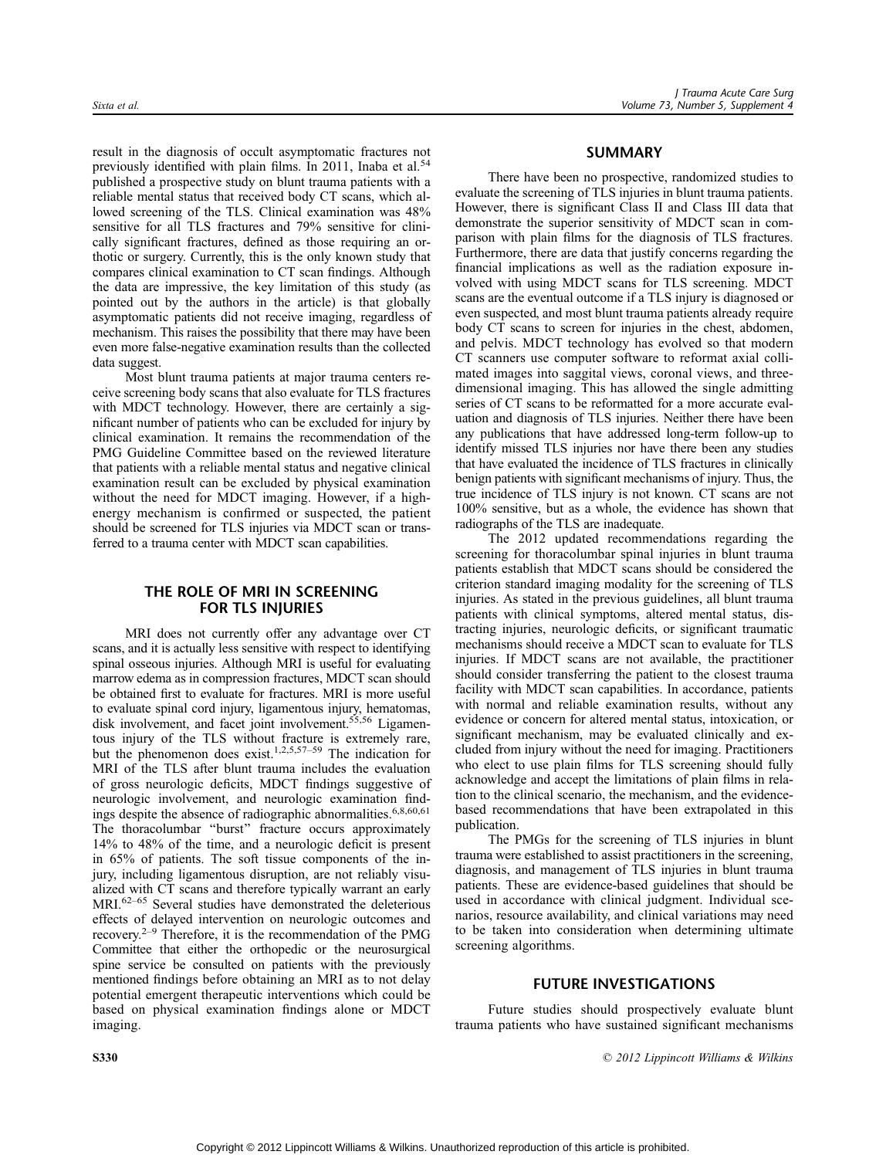result in the diagnosis of occult asymptomatic fractures not previously identified with plain films. In 2011, Inaba et al.<sup>54</sup> published a prospective study on blunt trauma patients with a reliable mental status that received body CT scans, which allowed screening of the TLS. Clinical examination was 48% sensitive for all TLS fractures and 79% sensitive for clinically significant fractures, defined as those requiring an orthotic or surgery. Currently, this is the only known study that compares clinical examination to CT scan findings. Although the data are impressive, the key limitation of this study (as pointed out by the authors in the article) is that globally asymptomatic patients did not receive imaging, regardless of mechanism. This raises the possibility that there may have been even more false-negative examination results than the collected data suggest.

Most blunt trauma patients at major trauma centers receive screening body scans that also evaluate for TLS fractures with MDCT technology. However, there are certainly a significant number of patients who can be excluded for injury by clinical examination. It remains the recommendation of the PMG Guideline Committee based on the reviewed literature that patients with a reliable mental status and negative clinical examination result can be excluded by physical examination without the need for MDCT imaging. However, if a highenergy mechanism is confirmed or suspected, the patient should be screened for TLS injuries via MDCT scan or transferred to a trauma center with MDCT scan capabilities.

## THE ROLE OF MRI IN SCREENING FOR TLS INJURIES

MRI does not currently offer any advantage over CT scans, and it is actually less sensitive with respect to identifying spinal osseous injuries. Although MRI is useful for evaluating marrow edema as in compression fractures, MDCT scan should be obtained first to evaluate for fractures. MRI is more useful to evaluate spinal cord injury, ligamentous injury, hematomas, disk involvement, and facet joint involvement.<sup>55,56</sup> Ligamentous injury of the TLS without fracture is extremely rare, but the phenomenon does exist.<sup>1,2,5,57–59</sup> The indication for MRI of the TLS after blunt trauma includes the evaluation of gross neurologic deficits, MDCT findings suggestive of neurologic involvement, and neurologic examination findings despite the absence of radiographic abnormalities.<sup>6,8,60,61</sup> The thoracolumbar ''burst'' fracture occurs approximately 14% to 48% of the time, and a neurologic deficit is present in 65% of patients. The soft tissue components of the injury, including ligamentous disruption, are not reliably visualized with CT scans and therefore typically warrant an early  $MRI.62-65$  Several studies have demonstrated the deleterious effects of delayed intervention on neurologic outcomes and recovery.<sup>2-9</sup> Therefore, it is the recommendation of the PMG Committee that either the orthopedic or the neurosurgical spine service be consulted on patients with the previously mentioned findings before obtaining an MRI as to not delay potential emergent therapeutic interventions which could be based on physical examination findings alone or MDCT imaging.

#### SUMMARY

There have been no prospective, randomized studies to evaluate the screening of TLS injuries in blunt trauma patients. However, there is significant Class II and Class III data that demonstrate the superior sensitivity of MDCT scan in comparison with plain films for the diagnosis of TLS fractures. Furthermore, there are data that justify concerns regarding the financial implications as well as the radiation exposure involved with using MDCT scans for TLS screening. MDCT scans are the eventual outcome if a TLS injury is diagnosed or even suspected, and most blunt trauma patients already require body CT scans to screen for injuries in the chest, abdomen, and pelvis. MDCT technology has evolved so that modern CT scanners use computer software to reformat axial collimated images into saggital views, coronal views, and threedimensional imaging. This has allowed the single admitting series of CT scans to be reformatted for a more accurate evaluation and diagnosis of TLS injuries. Neither there have been any publications that have addressed long-term follow-up to identify missed TLS injuries nor have there been any studies that have evaluated the incidence of TLS fractures in clinically benign patients with significant mechanisms of injury. Thus, the true incidence of TLS injury is not known. CT scans are not 100% sensitive, but as a whole, the evidence has shown that radiographs of the TLS are inadequate.

The 2012 updated recommendations regarding the screening for thoracolumbar spinal injuries in blunt trauma patients establish that MDCT scans should be considered the criterion standard imaging modality for the screening of TLS injuries. As stated in the previous guidelines, all blunt trauma patients with clinical symptoms, altered mental status, distracting injuries, neurologic deficits, or significant traumatic mechanisms should receive a MDCT scan to evaluate for TLS injuries. If MDCT scans are not available, the practitioner should consider transferring the patient to the closest trauma facility with MDCT scan capabilities. In accordance, patients with normal and reliable examination results, without any evidence or concern for altered mental status, intoxication, or significant mechanism, may be evaluated clinically and excluded from injury without the need for imaging. Practitioners who elect to use plain films for TLS screening should fully acknowledge and accept the limitations of plain films in relation to the clinical scenario, the mechanism, and the evidencebased recommendations that have been extrapolated in this publication.

The PMGs for the screening of TLS injuries in blunt trauma were established to assist practitioners in the screening, diagnosis, and management of TLS injuries in blunt trauma patients. These are evidence-based guidelines that should be used in accordance with clinical judgment. Individual scenarios, resource availability, and clinical variations may need to be taken into consideration when determining ultimate screening algorithms.

# FUTURE INVESTIGATIONS

Future studies should prospectively evaluate blunt trauma patients who have sustained significant mechanisms

S330 **S330 2012** Lippincott Williams & Wilkins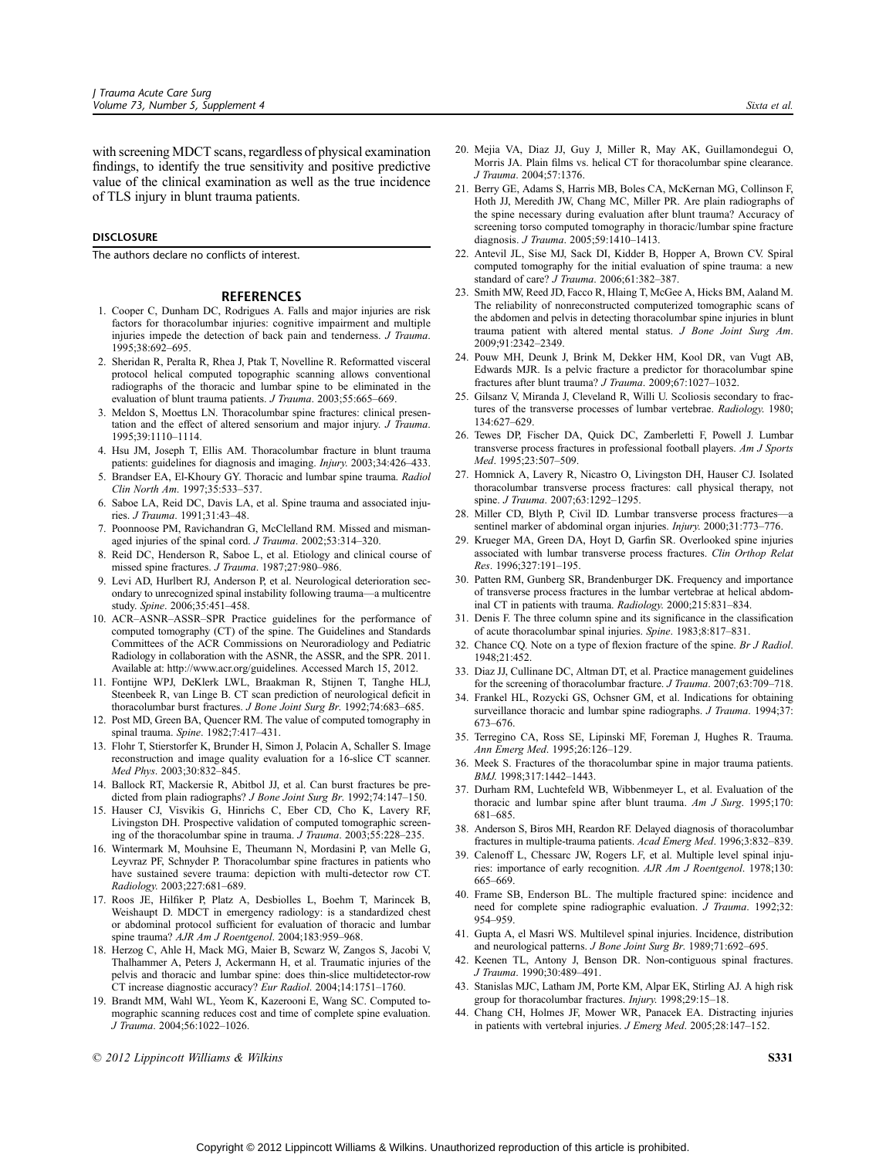with screening MDCT scans, regardless of physical examination findings, to identify the true sensitivity and positive predictive value of the clinical examination as well as the true incidence of TLS injury in blunt trauma patients.

#### **DISCLOSURE**

The authors declare no conflicts of interest.

#### **REFERENCES**

- 1. Cooper C, Dunham DC, Rodrigues A. Falls and major injuries are risk factors for thoracolumbar injuries: cognitive impairment and multiple injuries impede the detection of back pain and tenderness. J Trauma. 1995:38:692-695.
- 2. Sheridan R, Peralta R, Rhea J, Ptak T, Novelline R. Reformatted visceral protocol helical computed topographic scanning allows conventional radiographs of the thoracic and lumbar spine to be eliminated in the evaluation of blunt trauma patients.  $J$  Trauma. 2003;55:665–669.
- 3. Meldon S, Moettus LN. Thoracolumbar spine fractures: clinical presentation and the effect of altered sensorium and major injury. J Trauma. 1995:39:1110-1114.
- 4. Hsu JM, Joseph T, Ellis AM. Thoracolumbar fracture in blunt trauma patients: guidelines for diagnosis and imaging. Injury. 2003;34:426-433.
- 5. Brandser EA, El-Khoury GY. Thoracic and lumbar spine trauma. Radiol Clin North Am. 1997;35:533-537.
- 6. Saboe LA, Reid DC, Davis LA, et al. Spine trauma and associated injuries. J Trauma. 1991;31:43-48.
- 7. Poonnoose PM, Ravichandran G, McClelland RM. Missed and mismanaged injuries of the spinal cord. J Trauma.  $2002;53:314-320$ .
- 8. Reid DC, Henderson R, Saboe L, et al. Etiology and clinical course of missed spine fractures. J Trauma. 1987;27:980-986.
- 9. Levi AD, Hurlbert RJ, Anderson P, et al. Neurological deterioration secondary to unrecognized spinal instability following trauma-a multicentre study. Spine. 2006:35:451-458.
- 10. ACR-ASNR-ASSR-SPR Practice guidelines for the performance of computed tomography (CT) of the spine. The Guidelines and Standards Committees of the ACR Commissions on Neuroradiology and Pediatric Radiology in collaboration with the ASNR, the ASSR, and the SPR. 2011. Available at:<http://www.acr.org/guidelines>. Accessed March 15, 2012.
- 11. Fontijne WPJ, DeKlerk LWL, Braakman R, Stijnen T, Tanghe HLJ, Steenbeek R, van Linge B. CT scan prediction of neurological deficit in thoracolumbar burst fractures. J Bone Joint Surg Br. 1992;74:683-685.
- 12. Post MD, Green BA, Quencer RM. The value of computed tomography in spinal trauma. Spine. 1982;7:417-431.
- 13. Flohr T, Stierstorfer K, Brunder H, Simon J, Polacin A, Schaller S. Image reconstruction and image quality evaluation for a 16-slice CT scanner. Med Phys. 2003;30:832-845.
- 14. Ballock RT, Mackersie R, Abitbol JJ, et al. Can burst fractures be predicted from plain radiographs? J Bone Joint Surg Br. 1992;74:147-150.
- 15. Hauser CJ, Visvikis G, Hinrichs C, Eber CD, Cho K, Lavery RF, Livingston DH. Prospective validation of computed tomographic screening of the thoracolumbar spine in trauma. J Trauma. 2003;55:228-235.
- 16. Wintermark M, Mouhsine E, Theumann N, Mordasini P, van Melle G, Leyvraz PF, Schnyder P. Thoracolumbar spine fractures in patients who have sustained severe trauma: depiction with multi-detector row CT. Radiology. 2003;227:681-689.
- 17. Roos JE, Hilfiker P, Platz A, Desbiolles L, Boehm T, Marincek B, Weishaupt D. MDCT in emergency radiology: is a standardized chest or abdominal protocol sufficient for evaluation of thoracic and lumbar spine trauma? AJR Am J Roentgenol. 2004;183:959-968.
- 18. Herzog C, Ahle H, Mack MG, Maier B, Scwarz W, Zangos S, Jacobi V, Thalhammer A, Peters J, Ackermann H, et al. Traumatic injuries of the pelvis and thoracic and lumbar spine: does thin-slice multidetector-row CT increase diagnostic accuracy? Eur Radiol. 2004;14:1751-1760.
- 19. Brandt MM, Wahl WL, Yeom K, Kazerooni E, Wang SC. Computed tomographic scanning reduces cost and time of complete spine evaluation. J Trauma. 2004;56:1022-1026.
- 20. Mejia VA, Diaz JJ, Guy J, Miller R, May AK, Guillamondegui O, Morris JA. Plain films vs. helical CT for thoracolumbar spine clearance. J Trauma. 2004;57:1376.
- 21. Berry GE, Adams S, Harris MB, Boles CA, McKernan MG, Collinson F, Hoth JJ, Meredith JW, Chang MC, Miller PR. Are plain radiographs of the spine necessary during evaluation after blunt trauma? Accuracy of screening torso computed tomography in thoracic/lumbar spine fracture diagnosis. *J Trauma*. 2005;59:1410-1413.
- 22. Antevil JL, Sise MJ, Sack DI, Kidder B, Hopper A, Brown CV. Spiral computed tomography for the initial evaluation of spine trauma: a new standard of care? *J Trauma*. 2006:61:382-387.
- 23. Smith MW, Reed JD, Facco R, Hlaing T, McGee A, Hicks BM, Aaland M. The reliability of nonreconstructed computerized tomographic scans of the abdomen and pelvis in detecting thoracolumbar spine injuries in blunt trauma patient with altered mental status. J Bone Joint Surg Am. 2009;91:2342-2349.
- 24. Pouw MH, Deunk J, Brink M, Dekker HM, Kool DR, van Vugt AB, Edwards MJR. Is a pelvic fracture a predictor for thoracolumbar spine fractures after blunt trauma?  $J$  Trauma. 2009;67:1027-1032.
- 25. Gilsanz V, Miranda J, Cleveland R, Willi U. Scoliosis secondary to fractures of the transverse processes of lumbar vertebrae. Radiology. 1980; 134:627-629.
- 26. Tewes DP, Fischer DA, Quick DC, Zamberletti F, Powell J. Lumbar transverse process fractures in professional football players. Am J Sports Med. 1995:23:507-509.
- 27. Homnick A, Lavery R, Nicastro O, Livingston DH, Hauser CJ. Isolated thoracolumbar transverse process fractures: call physical therapy, not spine. J Trauma. 2007;63:1292-1295.
- 28. Miller CD, Blyth P, Civil ID. Lumbar transverse process fractures-a sentinel marker of abdominal organ injuries. Injury. 2000;31:773-776.
- 29. Krueger MA, Green DA, Hoyt D, Garfin SR. Overlooked spine injuries associated with lumbar transverse process fractures. Clin Orthop Relat Res. 1996;327:191-195.
- 30. Patten RM, Gunberg SR, Brandenburger DK. Frequency and importance of transverse process fractures in the lumbar vertebrae at helical abdominal CT in patients with trauma. Radiology. 2000;215:831-834.
- 31. Denis F. The three column spine and its significance in the classification of acute thoracolumbar spinal injuries. Spine. 1983;8:817-831.
- 32. Chance CQ. Note on a type of flexion fracture of the spine. Br J Radiol. 1948;21:452.
- 33. Diaz JJ, Cullinane DC, Altman DT, et al. Practice management guidelines for the screening of thoracolumbar fracture. J Trauma. 2007;63:709-718.
- 34. Frankel HL, Rozycki GS, Ochsner GM, et al. Indications for obtaining surveillance thoracic and lumbar spine radiographs. J Trauma. 1994;37: 673-676.
- 35. Terregino CA, Ross SE, Lipinski MF, Foreman J, Hughes R. Trauma. Ann Emerg Med. 1995;26:126-129.
- 36. Meek S. Fractures of the thoracolumbar spine in major trauma patients. BMJ. 1998;317:1442-1443.
- 37. Durham RM, Luchtefeld WB, Wibbenmeyer L, et al. Evaluation of the thoracic and lumbar spine after blunt trauma. Am J Surg. 1995;170: 681-685.
- 38. Anderson S, Biros MH, Reardon RF. Delayed diagnosis of thoracolumbar fractures in multiple-trauma patients. Acad Emerg Med. 1996;3:832-839.
- 39. Calenoff L, Chessarc JW, Rogers LF, et al. Multiple level spinal injuries: importance of early recognition. AJR Am J Roentgenol. 1978;130: 665-669
- 40. Frame SB, Enderson BL. The multiple fractured spine: incidence and need for complete spine radiographic evaluation. J Trauma. 1992;32: 954-959.
- 41. Gupta A, el Masri WS. Multilevel spinal injuries. Incidence, distribution and neurological patterns. J Bone Joint Surg Br. 1989;71:692-695.
- 42. Keenen TL, Antony J, Benson DR. Non-contiguous spinal fractures. J Trauma. 1990;30:489-491.
- 43. Stanislas MJC, Latham JM, Porte KM, Alpar EK, Stirling AJ. A high risk group for thoracolumbar fractures. Injury. 1998;29:15-18.
- 44. Chang CH, Holmes JF, Mower WR, Panacek EA. Distracting injuries in patients with vertebral injuries. J Emerg Med. 2005;28:147-152.
- $\odot$  2012 Lippincott Williams & Wilkins  $\ddot{\phantom{2}}$  S331